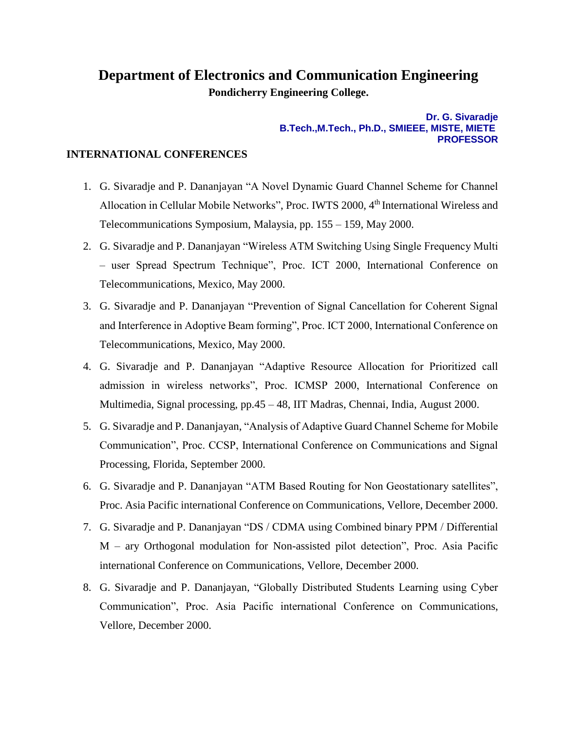## **Department of Electronics and Communication Engineering Pondicherry Engineering College.**

## **Dr. G. Sivaradje B.Tech.,M.Tech., Ph.D., SMIEEE, MISTE, MIETE PROFESSOR**

## **INTERNATIONAL CONFERENCES**

- 1. G. Sivaradje and P. Dananjayan "A Novel Dynamic Guard Channel Scheme for Channel Allocation in Cellular Mobile Networks", Proc. IWTS 2000, 4<sup>th</sup> International Wireless and Telecommunications Symposium, Malaysia, pp. 155 – 159, May 2000.
- 2. G. Sivaradje and P. Dananjayan "Wireless ATM Switching Using Single Frequency Multi – user Spread Spectrum Technique", Proc. ICT 2000, International Conference on Telecommunications, Mexico, May 2000.
- 3. G. Sivaradje and P. Dananjayan "Prevention of Signal Cancellation for Coherent Signal and Interference in Adoptive Beam forming", Proc. ICT 2000, International Conference on Telecommunications, Mexico, May 2000.
- 4. G. Sivaradje and P. Dananjayan "Adaptive Resource Allocation for Prioritized call admission in wireless networks", Proc. ICMSP 2000, International Conference on Multimedia, Signal processing, pp.45 – 48, IIT Madras, Chennai, India, August 2000.
- 5. G. Sivaradje and P. Dananjayan, "Analysis of Adaptive Guard Channel Scheme for Mobile Communication", Proc. CCSP, International Conference on Communications and Signal Processing, Florida, September 2000.
- 6. G. Sivaradje and P. Dananjayan "ATM Based Routing for Non Geostationary satellites", Proc. Asia Pacific international Conference on Communications, Vellore, December 2000.
- 7. G. Sivaradje and P. Dananjayan "DS / CDMA using Combined binary PPM / Differential M – ary Orthogonal modulation for Non-assisted pilot detection", Proc. Asia Pacific international Conference on Communications, Vellore, December 2000.
- 8. G. Sivaradje and P. Dananjayan, "Globally Distributed Students Learning using Cyber Communication", Proc. Asia Pacific international Conference on Communications, Vellore, December 2000.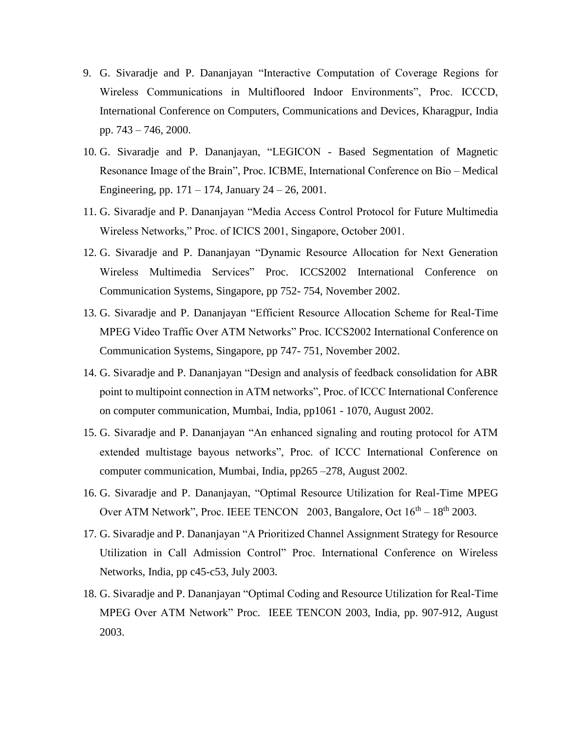- 9. G. Sivaradje and P. Dananjayan "Interactive Computation of Coverage Regions for Wireless Communications in Multifloored Indoor Environments", Proc. ICCCD, International Conference on Computers, Communications and Devices, Kharagpur, India pp. 743 – 746, 2000.
- 10. G. Sivaradje and P. Dananjayan, "LEGICON Based Segmentation of Magnetic Resonance Image of the Brain", Proc. ICBME, International Conference on Bio – Medical Engineering, pp.  $171 - 174$ , January  $24 - 26$ , 2001.
- 11. G. Sivaradje and P. Dananjayan "Media Access Control Protocol for Future Multimedia Wireless Networks," Proc. of ICICS 2001, Singapore, October 2001.
- 12. G. Sivaradje and P. Dananjayan "Dynamic Resource Allocation for Next Generation Wireless Multimedia Services" Proc. ICCS2002 International Conference on Communication Systems, Singapore, pp 752- 754, November 2002.
- 13. G. Sivaradje and P. Dananjayan "Efficient Resource Allocation Scheme for Real-Time MPEG Video Traffic Over ATM Networks" Proc. ICCS2002 International Conference on Communication Systems, Singapore, pp 747- 751, November 2002.
- 14. G. Sivaradje and P. Dananjayan "Design and analysis of feedback consolidation for ABR point to multipoint connection in ATM networks", Proc. of ICCC International Conference on computer communication, Mumbai, India, pp1061 - 1070, August 2002.
- 15. G. Sivaradje and P. Dananjayan "An enhanced signaling and routing protocol for ATM extended multistage bayous networks", Proc. of ICCC International Conference on computer communication, Mumbai, India, pp265 –278, August 2002.
- 16. G. Sivaradje and P. Dananjayan, "Optimal Resource Utilization for Real-Time MPEG Over ATM Network", Proc. IEEE TENCON 2003, Bangalore, Oct  $16<sup>th</sup> - 18<sup>th</sup>$  2003.
- 17. G. Sivaradje and P. Dananjayan "A Prioritized Channel Assignment Strategy for Resource Utilization in Call Admission Control" Proc. International Conference on Wireless Networks, India, pp c45-c53, July 2003.
- 18. G. Sivaradje and P. Dananjayan "Optimal Coding and Resource Utilization for Real-Time MPEG Over ATM Network" Proc. IEEE TENCON 2003, India, pp. 907-912, August 2003.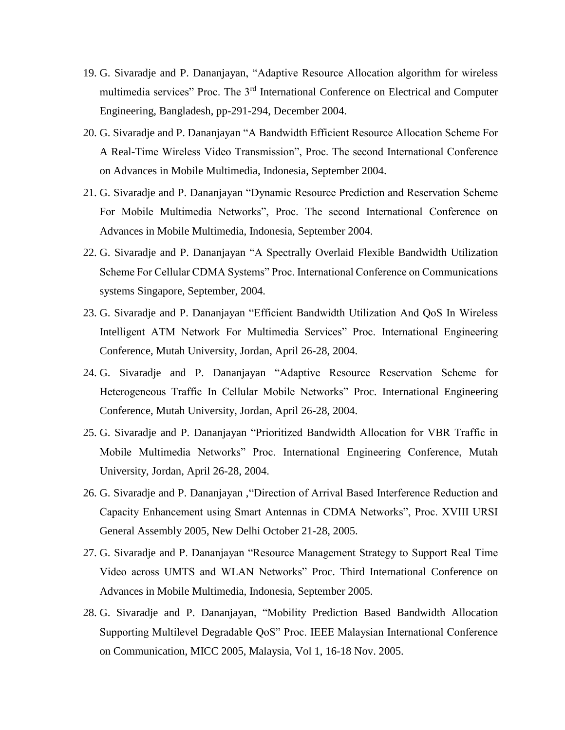- 19. G. Sivaradje and P. Dananjayan, "Adaptive Resource Allocation algorithm for wireless multimedia services" Proc. The 3rd International Conference on Electrical and Computer Engineering, Bangladesh, pp-291-294, December 2004.
- 20. G. Sivaradje and P. Dananjayan "A Bandwidth Efficient Resource Allocation Scheme For A Real-Time Wireless Video Transmission", Proc. The second International Conference on Advances in Mobile Multimedia, Indonesia, September 2004.
- 21. G. Sivaradje and P. Dananjayan "Dynamic Resource Prediction and Reservation Scheme For Mobile Multimedia Networks", Proc. The second International Conference on Advances in Mobile Multimedia, Indonesia, September 2004.
- 22. G. Sivaradje and P. Dananjayan "A Spectrally Overlaid Flexible Bandwidth Utilization Scheme For Cellular CDMA Systems" Proc. International Conference on Communications systems Singapore, September, 2004.
- 23. G. Sivaradje and P. Dananjayan "Efficient Bandwidth Utilization And QoS In Wireless Intelligent ATM Network For Multimedia Services" Proc. International Engineering Conference, Mutah University, Jordan, April 26-28, 2004.
- 24. G. Sivaradje and P. Dananjayan "Adaptive Resource Reservation Scheme for Heterogeneous Traffic In Cellular Mobile Networks" Proc. International Engineering Conference, Mutah University, Jordan, April 26-28, 2004.
- 25. G. Sivaradje and P. Dananjayan "Prioritized Bandwidth Allocation for VBR Traffic in Mobile Multimedia Networks" Proc. International Engineering Conference, Mutah University, Jordan, April 26-28, 2004.
- 26. G. Sivaradje and P. Dananjayan ,"Direction of Arrival Based Interference Reduction and Capacity Enhancement using Smart Antennas in CDMA Networks", Proc. XVIII URSI General Assembly 2005, New Delhi October 21-28, 2005.
- 27. G. Sivaradje and P. Dananjayan "Resource Management Strategy to Support Real Time Video across UMTS and WLAN Networks" Proc. Third International Conference on Advances in Mobile Multimedia, Indonesia, September 2005.
- 28. G. Sivaradje and P. Dananjayan, "Mobility Prediction Based Bandwidth Allocation Supporting Multilevel Degradable QoS" Proc. IEEE Malaysian International Conference on Communication, MICC 2005, Malaysia, Vol 1, 16-18 Nov. 2005.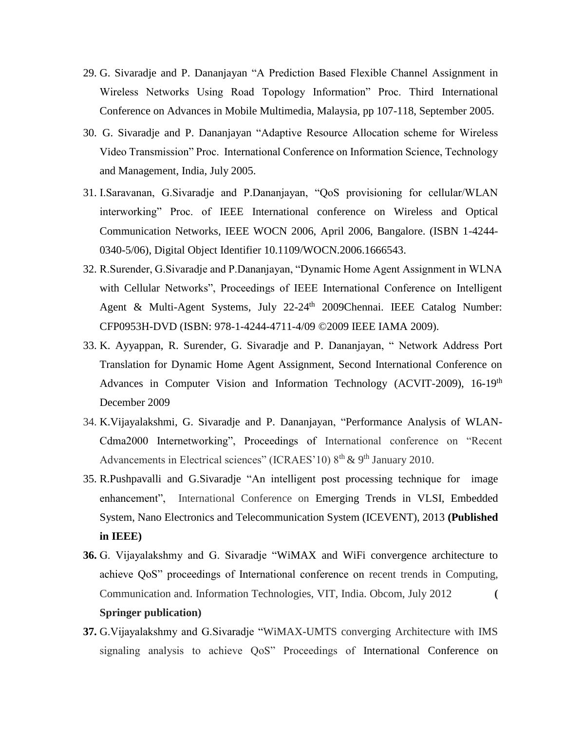- 29. G. Sivaradje and P. Dananjayan "A Prediction Based Flexible Channel Assignment in Wireless Networks Using Road Topology Information" Proc. Third International Conference on Advances in Mobile Multimedia, Malaysia, pp 107-118, September 2005.
- 30. G. Sivaradje and P. Dananjayan "Adaptive Resource Allocation scheme for Wireless Video Transmission" Proc. International Conference on Information Science, Technology and Management, India, July 2005.
- 31. I.Saravanan, G.Sivaradje and P.Dananjayan, "QoS provisioning for cellular/WLAN interworking" Proc. of IEEE International conference on Wireless and Optical Communication Networks, IEEE WOCN 2006, April 2006, Bangalore. (ISBN 1-4244- 0340-5/06), Digital Object Identifier 10.1109/WOCN.2006.1666543.
- 32. R.Surender, G.Sivaradje and P.Dananjayan, "Dynamic Home Agent Assignment in WLNA with Cellular Networks", Proceedings of IEEE International Conference on Intelligent Agent & Multi-Agent Systems, July 22-24<sup>th</sup> 2009Chennai. IEEE Catalog Number: CFP0953H-DVD (ISBN: 978-1-4244-4711-4/09 ©2009 IEEE IAMA 2009).
- 33. K. Ayyappan, R. Surender, G. Sivaradje and P. Dananjayan, " Network Address Port Translation for Dynamic Home Agent Assignment, Second International Conference on Advances in Computer Vision and Information Technology (ACVIT-2009), 16-19<sup>th</sup> December 2009
- 34. K.Vijayalakshmi, G. Sivaradje and P. Dananjayan, "Performance Analysis of WLAN-Cdma2000 Internetworking", Proceedings of International conference on "Recent Advancements in Electrical sciences" (ICRAES'10)  $8<sup>th</sup>$  &  $9<sup>th</sup>$  January 2010.
- 35. R.Pushpavalli and G.Sivaradje "An intelligent post processing technique for image enhancement", International Conference on [Emerging Trends in VLSI, Embedded](http://ieeexplore.ieee.org/xpl/mostRecentIssue.jsp?punumber=6490097)  [System, Nano Electronics and Telecommunication System \(ICEVENT\), 2013](http://ieeexplore.ieee.org/xpl/mostRecentIssue.jsp?punumber=6490097) **(Published in IEEE)**
- **36.** G. Vijayalakshmy and G. Sivaradje "WiMAX and WiFi convergence architecture to achieve QoS" proceedings of International conference on recent trends in Computing, Communication and. Information Technologies, VIT, India. Obcom, July 2012 **( Springer publication)**
- **37.** G.Vijayalakshmy and G.Sivaradje "WiMAX-UMTS converging Architecture with IMS signaling analysis to achieve QoS" Proceedings of International Conference on